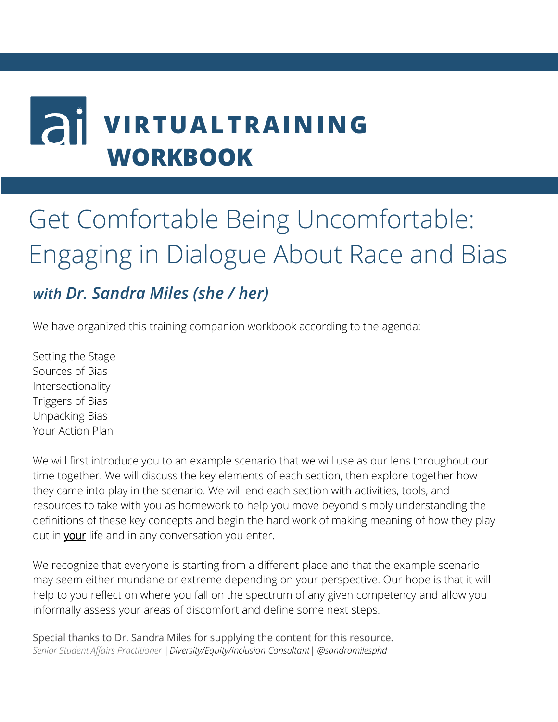## **ail VIRTUALTRAINING WORKBOOK**

# Get Comfortable Being Uncomfortable: Engaging in Dialogue About Race and Bias

### *with Dr. Sandra Miles (she / her)*

We have organized this training companion workbook according to the agenda:

Setting the Stage Sources of Bias Intersectionality Triggers of Bias Unpacking Bias Your Action Plan

We will first introduce you to an example scenario that we will use as our lens throughout our time together. We will discuss the key elements of each section, then explore together how they came into play in the scenario. We will end each section with activities, tools, and resources to take with you as homework to help you move beyond simply understanding the definitions of these key concepts and begin the hard work of making meaning of how they play out in your life and in any conversation you enter.

We recognize that everyone is starting from a different place and that the example scenario may seem either mundane or extreme depending on your perspective. Our hope is that it will help to you reflect on where you fall on the spectrum of any given competency and allow you informally assess your areas of discomfort and define some next steps.

Special thanks to Dr. Sandra Miles for supplying the content for this resource. *Senior Student Affairs Practitioner |Diversity/Equity/Inclusion Consultant| @sandramilesphd*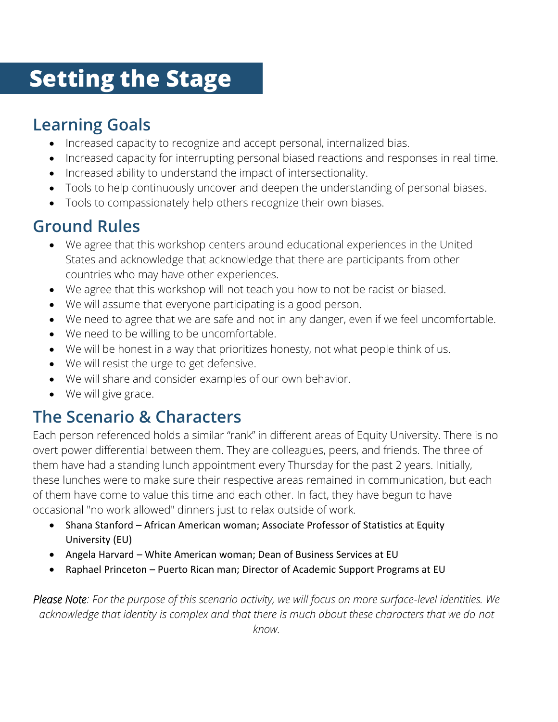## **Setting the Stage**

## **Learning Goals**

- Increased capacity to recognize and accept personal, internalized bias.
- Increased capacity for interrupting personal biased reactions and responses in real time.
- Increased ability to understand the impact of intersectionality.
- Tools to help continuously uncover and deepen the understanding of personal biases.
- Tools to compassionately help others recognize their own biases.

## **Ground Rules**

- We agree that this workshop centers around educational experiences in the United States and acknowledge that acknowledge that there are participants from other countries who may have other experiences.
- We agree that this workshop will not teach you how to not be racist or biased.
- We will assume that everyone participating is a good person.
- We need to agree that we are safe and not in any danger, even if we feel uncomfortable.
- We need to be willing to be uncomfortable.
- We will be honest in a way that prioritizes honesty, not what people think of us.
- We will resist the urge to get defensive.
- We will share and consider examples of our own behavior.
- We will give grace.

### **The Scenario & Characters**

Each person referenced holds a similar "rank" in different areas of Equity University. There is no overt power differential between them. They are colleagues, peers, and friends. The three of them have had a standing lunch appointment every Thursday for the past 2 years. Initially, these lunches were to make sure their respective areas remained in communication, but each of them have come to value this time and each other. In fact, they have begun to have occasional "no work allowed" dinners just to relax outside of work.

- Shana Stanford African American woman; Associate Professor of Statistics at Equity University (EU)
- Angela Harvard White American woman; Dean of Business Services at EU
- Raphael Princeton Puerto Rican man; Director of Academic Support Programs at EU

*Please Note: For the purpose of this scenario activity, we will focus on more surface-level identities. We acknowledge that identity is complex and that there is much about these characters that we do not know.*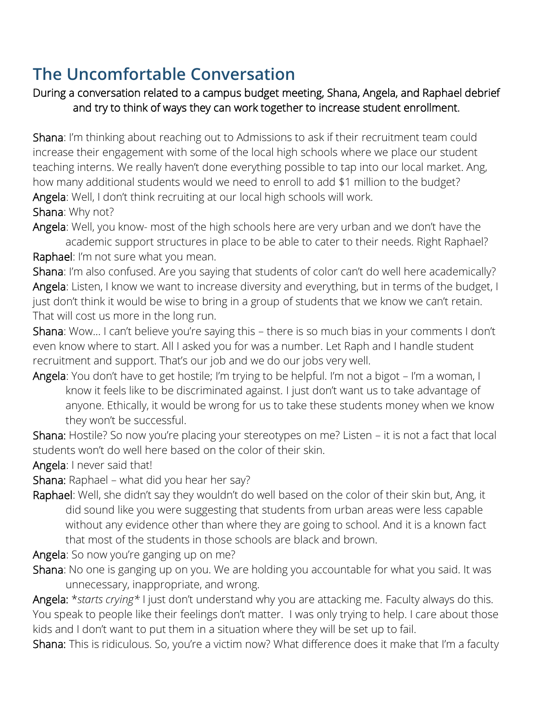### **The Uncomfortable Conversation**

#### During a conversation related to a campus budget meeting, Shana, Angela, and Raphael debrief and try to think of ways they can work together to increase student enrollment.

Shana: I'm thinking about reaching out to Admissions to ask if their recruitment team could increase their engagement with some of the local high schools where we place our student teaching interns. We really haven't done everything possible to tap into our local market. Ang, how many additional students would we need to enroll to add \$1 million to the budget? Angela: Well, I don't think recruiting at our local high schools will work.

#### Shana: Why not?

Angela: Well, you know- most of the high schools here are very urban and we don't have the academic support structures in place to be able to cater to their needs. Right Raphael? Raphael: I'm not sure what you mean.

Shana: I'm also confused. Are you saying that students of color can't do well here academically? Angela: Listen, I know we want to increase diversity and everything, but in terms of the budget, I just don't think it would be wise to bring in a group of students that we know we can't retain.

That will cost us more in the long run.

Shana: Wow… I can't believe you're saying this – there is so much bias in your comments I don't even know where to start. All I asked you for was a number. Let Raph and I handle student recruitment and support. That's our job and we do our jobs very well.

Angela: You don't have to get hostile; I'm trying to be helpful. I'm not a bigot – I'm a woman, I know it feels like to be discriminated against. I just don't want us to take advantage of anyone. Ethically, it would be wrong for us to take these students money when we know they won't be successful.

Shana: Hostile? So now you're placing your stereotypes on me? Listen – it is not a fact that local students won't do well here based on the color of their skin.

Angela: I never said that!

Shana: Raphael – what did you hear her say?

Raphael: Well, she didn't say they wouldn't do well based on the color of their skin but, Ang, it did sound like you were suggesting that students from urban areas were less capable without any evidence other than where they are going to school. And it is a known fact that most of the students in those schools are black and brown.

Angela: So now you're ganging up on me?

Shana: No one is ganging up on you. We are holding you accountable for what you said. It was unnecessary, inappropriate, and wrong.

Angela: \**starts crying\** I just don't understand why you are attacking me. Faculty always do this. You speak to people like their feelings don't matter. I was only trying to help. I care about those kids and I don't want to put them in a situation where they will be set up to fail.

Shana: This is ridiculous. So, you're a victim now? What difference does it make that I'm a faculty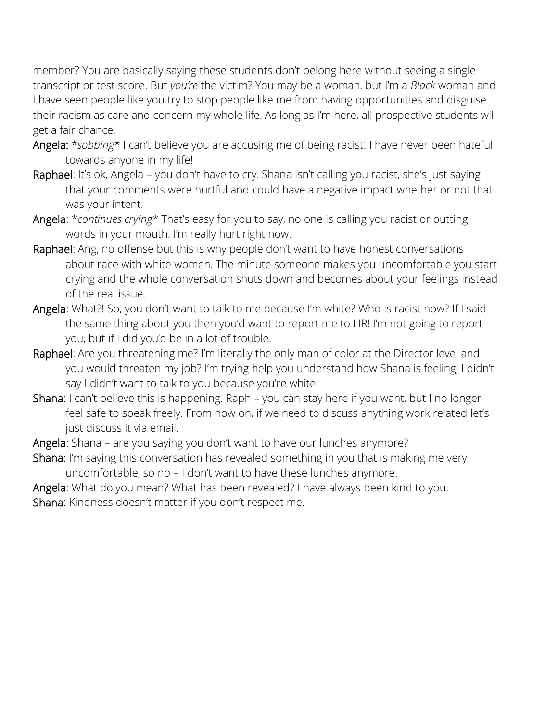member? You are basically saying these students don't belong here without seeing a single transcript or test score. But *you're* the victim? You may be a woman, but I'm a *Black* woman and I have seen people like you try to stop people like me from having opportunities and disguise their racism as care and concern my whole life. As long as I'm here, all prospective students will get a fair chance.

- Angela: \**sobbing*\* I can't believe you are accusing me of being racist! I have never been hateful towards anyone in my life!
- Raphael: It's ok, Angela you don't have to cry. Shana isn't calling you racist, she's just saying that your comments were hurtful and could have a negative impact whether or not that was your intent.
- Angela: \**continues crying*\* That's easy for you to say, no one is calling you racist or putting words in your mouth. I'm really hurt right now.
- Raphael: Ang, no offense but this is why people don't want to have honest conversations about race with white women. The minute someone makes you uncomfortable you start crying and the whole conversation shuts down and becomes about your feelings instead of the real issue.
- Angela: What?! So, you don't want to talk to me because I'm white? Who is racist now? If I said the same thing about you then you'd want to report me to HR! I'm not going to report you, but if I did you'd be in a lot of trouble.
- Raphael: Are you threatening me? I'm literally the only man of color at the Director level and you would threaten my job? I'm trying help you understand how Shana is feeling, I didn't say I didn't want to talk to you because you're white.
- Shana: I can't believe this is happening. Raph you can stay here if you want, but I no longer feel safe to speak freely. From now on, if we need to discuss anything work related let's just discuss it via email.
- Angela: Shana are you saying you don't want to have our lunches anymore?
- Shana: I'm saying this conversation has revealed something in you that is making me very uncomfortable, so no – I don't want to have these lunches anymore.
- Angela: What do you mean? What has been revealed? I have always been kind to you.
- Shana: Kindness doesn't matter if you don't respect me.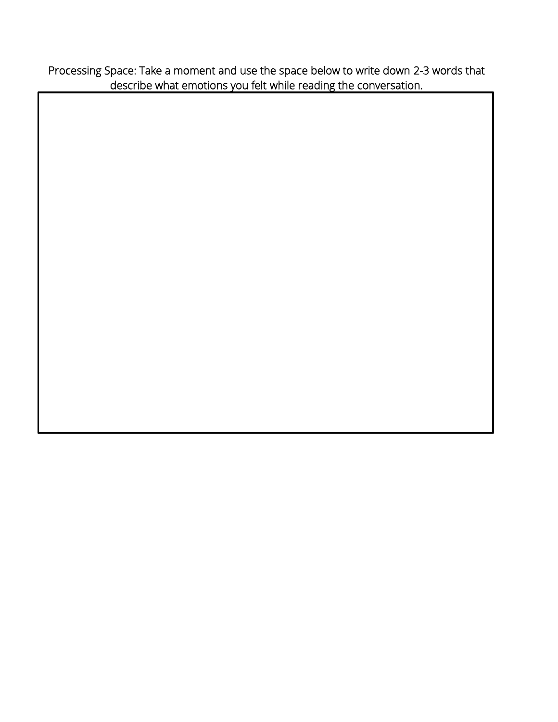Processing Space: Take a moment and use the space below to write down 2-3 words that describe what emotions you felt while reading the conversation.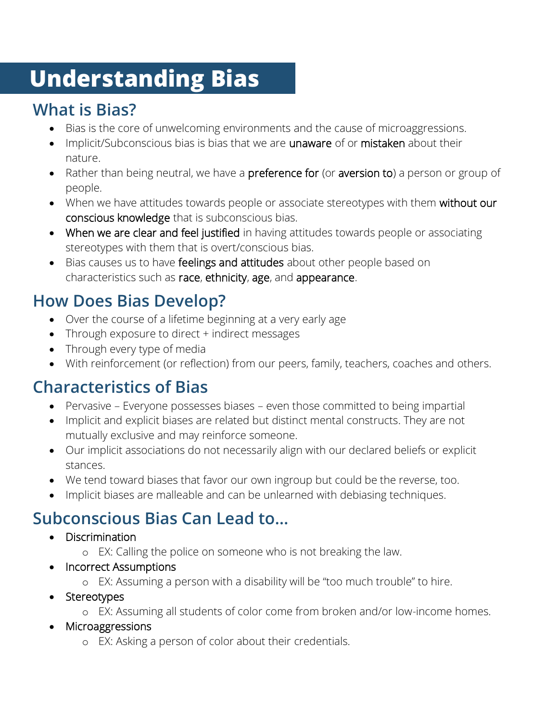## **Understanding Bias**

#### **What is Bias?**

- Bias is the core of unwelcoming environments and the cause of microaggressions.
- Implicit/Subconscious bias is bias that we are **unaware** of or **mistaken** about their nature.
- Rather than being neutral, we have a preference for (or aversion to) a person or group of people.
- When we have attitudes towards people or associate stereotypes with them without our conscious knowledge that is subconscious bias.
- When we are clear and feel justified in having attitudes towards people or associating stereotypes with them that is overt/conscious bias.
- Bias causes us to have feelings and attitudes about other people based on characteristics such as race, ethnicity, age, and appearance.

## **How Does Bias Develop?**

- Over the course of a lifetime beginning at a very early age
- Through exposure to direct + indirect messages
- Through every type of media
- With reinforcement (or reflection) from our peers, family, teachers, coaches and others.

## **Characteristics of Bias**

- Pervasive Everyone possesses biases even those committed to being impartial
- Implicit and explicit biases are related but distinct mental constructs. They are not mutually exclusive and may reinforce someone.
- Our implicit associations do not necessarily align with our declared beliefs or explicit stances.
- We tend toward biases that favor our own ingroup but could be the reverse, too.
- Implicit biases are malleable and can be unlearned with debiasing techniques.

## **Subconscious Bias Can Lead to…**

- Discrimination
	- o EX: Calling the police on someone who is not breaking the law.
- Incorrect Assumptions
	- o EX: Assuming a person with a disability will be "too much trouble" to hire.
- Stereotypes
	- o EX: Assuming all students of color come from broken and/or low-income homes.
- Microaggressions
	- o EX: Asking a person of color about their credentials.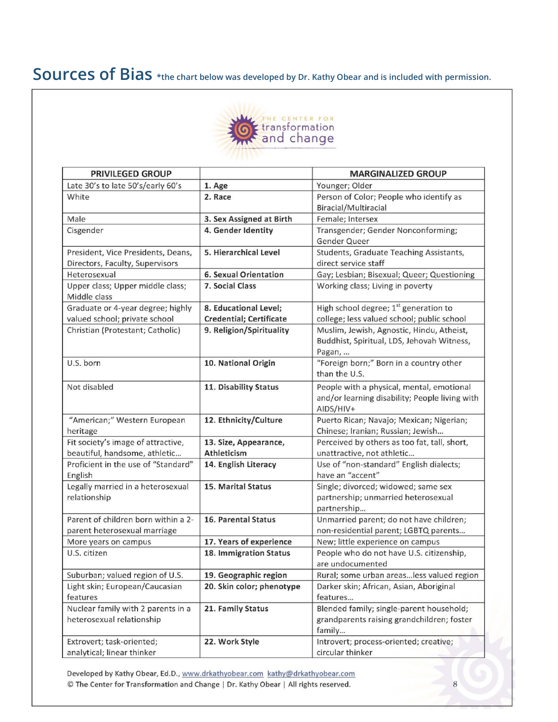## **Sources of Bias \*the chart below was developed by Dr. Kathy Obear and is included with permission.**



| PRIVILEGED GROUP                    |                                | <b>MARGINALIZED GROUP</b>                         |  |
|-------------------------------------|--------------------------------|---------------------------------------------------|--|
| Late 30's to late 50's/early 60's   | 1. Age                         | Younger; Older                                    |  |
| White                               | 2. Race                        | Person of Color; People who identify as           |  |
|                                     |                                | Biracial/Multiracial                              |  |
| Male                                | 3. Sex Assigned at Birth       | Female; Intersex                                  |  |
| Cisgender                           | 4. Gender Identity             | Transgender; Gender Nonconforming;                |  |
|                                     |                                | <b>Gender Queer</b>                               |  |
| President, Vice Presidents, Deans,  | 5. Hierarchical Level          | Students, Graduate Teaching Assistants,           |  |
| Directors, Faculty, Supervisors     |                                | direct service staff                              |  |
| Heterosexual                        | <b>6. Sexual Orientation</b>   | Gay; Lesbian; Bisexual; Queer; Questioning        |  |
| Upper class; Upper middle class;    | 7. Social Class                | Working class; Living in poverty                  |  |
| Middle class                        |                                |                                                   |  |
| Graduate or 4-year degree; highly   | 8. Educational Level;          | High school degree; 1 <sup>st</sup> generation to |  |
| valued school; private school       | <b>Credential; Certificate</b> | college; less valued school; public school        |  |
| Christian (Protestant; Catholic)    | 9. Religion/Spirituality       | Muslim, Jewish, Agnostic, Hindu, Atheist,         |  |
|                                     |                                | Buddhist, Spiritual, LDS, Jehovah Witness,        |  |
|                                     |                                | Pagan,                                            |  |
| U.S. born                           | 10. National Origin            | "Foreign born;" Born in a country other           |  |
|                                     |                                | than the U.S.                                     |  |
| Not disabled                        | 11. Disability Status          | People with a physical, mental, emotional         |  |
|                                     |                                | and/or learning disability; People living with    |  |
|                                     |                                | AIDS/HIV+                                         |  |
| "American;" Western European        | 12. Ethnicity/Culture          | Puerto Rican; Navajo; Mexican; Nigerian;          |  |
| heritage                            |                                | Chinese; Iranian; Russian; Jewish                 |  |
| Fit society's image of attractive,  | 13. Size, Appearance,          | Perceived by others as too fat, tall, short,      |  |
| beautiful, handsome, athletic       | Athleticism                    | unattractive, not athletic                        |  |
| Proficient in the use of "Standard" | 14. English Literacy           | Use of "non-standard" English dialects;           |  |
| English                             |                                | have an "accent"                                  |  |
| Legally married in a heterosexual   | 15. Marital Status             | Single; divorced; widowed; same sex               |  |
| relationship                        |                                | partnership; unmarried heterosexual               |  |
|                                     |                                | partnership                                       |  |
| Parent of children born within a 2- | 16. Parental Status            | Unmarried parent; do not have children;           |  |
| parent heterosexual marriage        |                                | non-residential parent; LGBTQ parents             |  |
| More years on campus                | 17. Years of experience        | New; little experience on campus                  |  |
| U.S. citizen                        | 18. Immigration Status         | People who do not have U.S. citizenship,          |  |
|                                     |                                | are undocumented                                  |  |
| Suburban; valued region of U.S.     | 19. Geographic region          | Rural; some urban areasless valued region         |  |
| Light skin; European/Caucasian      | 20. Skin color; phenotype      | Darker skin; African, Asian, Aboriginal           |  |
| features                            |                                | features                                          |  |
| Nuclear family with 2 parents in a  | 21. Family Status              | Blended family; single-parent household;          |  |
| heterosexual relationship           |                                | grandparents raising grandchildren; foster        |  |
|                                     |                                | family                                            |  |
| Extrovert; task-oriented;           | 22. Work Style                 | Introvert; process-oriented; creative;            |  |
| analytical; linear thinker          |                                | circular thinker                                  |  |

Developed by Kathy Obear, Ed.D., www.drkathyobear.com kathy@drkathyobear.com © The Center for Transformation and Change | Dr. Kathy Obear | All rights reserved.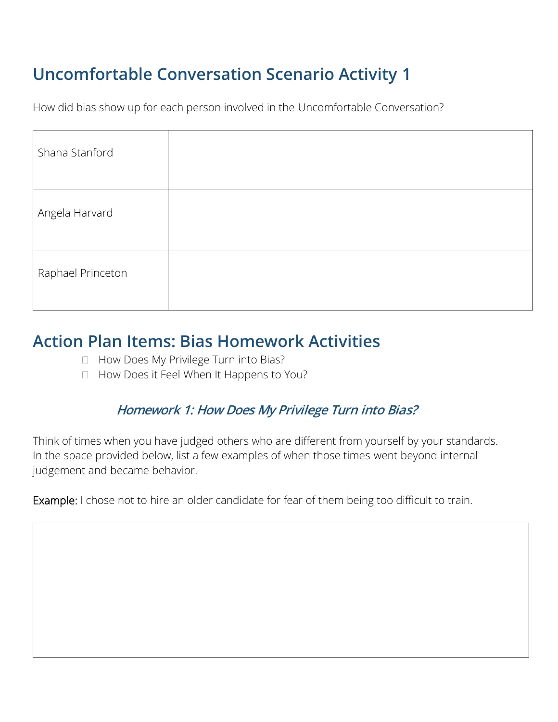## **Uncomfortable Conversation Scenario Activity 1**

How did bias show up for each person involved in the Uncomfortable Conversation?

| Shana Stanford    |  |
|-------------------|--|
| Angela Harvard    |  |
| Raphael Princeton |  |

#### **Action Plan Items: Bias Homework Activities**

- $\Box$  How Does My Privilege Turn into Bias?
- □ How Does it Feel When It Happens to You?

#### **Homework 1: How Does My Privilege Turn into Bias?**

Think of times when you have judged others who are different from yourself by your standards. In the space provided below, list a few examples of when those times went beyond internal judgement and became behavior.

Example: I chose not to hire an older candidate for fear of them being too difficult to train.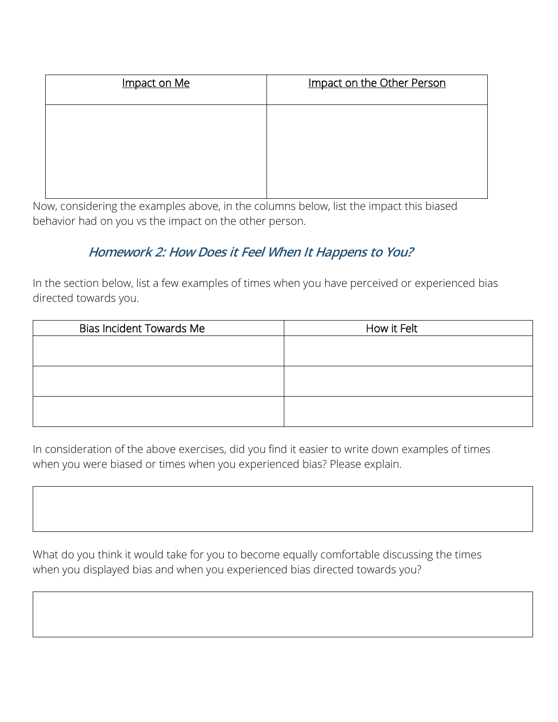| Impact on Me | Impact on the Other Person |
|--------------|----------------------------|
|              |                            |
|              |                            |
|              |                            |

Now, considering the examples above, in the columns below, list the impact this biased behavior had on you vs the impact on the other person.

#### **Homework 2: How Does it Feel When It Happens to You?**

In the section below, list a few examples of times when you have perceived or experienced bias directed towards you.

| Bias Incident Towards Me | How it Felt |
|--------------------------|-------------|
|                          |             |
|                          |             |
|                          |             |
|                          |             |
|                          |             |
|                          |             |

In consideration of the above exercises, did you find it easier to write down examples of times when you were biased or times when you experienced bias? Please explain.

What do you think it would take for you to become equally comfortable discussing the times when you displayed bias and when you experienced bias directed towards you?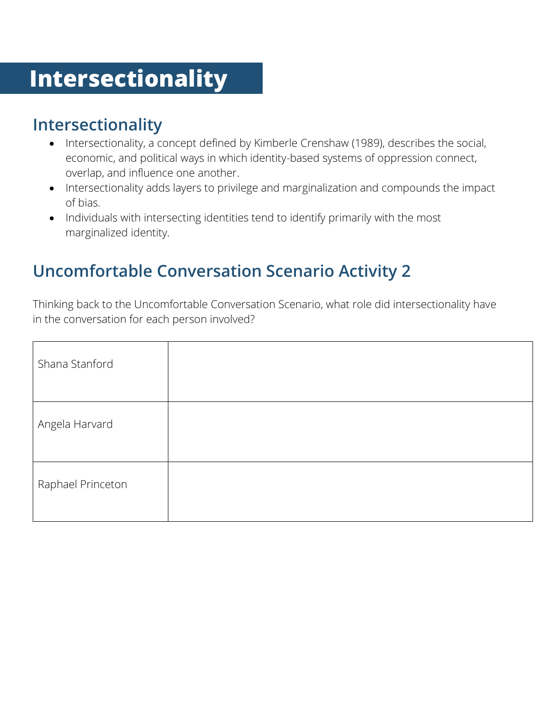## **Intersectionality**

#### **Intersectionality**

- Intersectionality, a concept defined by Kimberle Crenshaw (1989), describes the social, economic, and political ways in which identity-based systems of oppression connect, overlap, and influence one another.
- Intersectionality adds layers to privilege and marginalization and compounds the impact of bias.
- Individuals with intersecting identities tend to identify primarily with the most marginalized identity.

### **Uncomfortable Conversation Scenario Activity 2**

Thinking back to the Uncomfortable Conversation Scenario, what role did intersectionality have in the conversation for each person involved?

| Shana Stanford    |  |
|-------------------|--|
| Angela Harvard    |  |
| Raphael Princeton |  |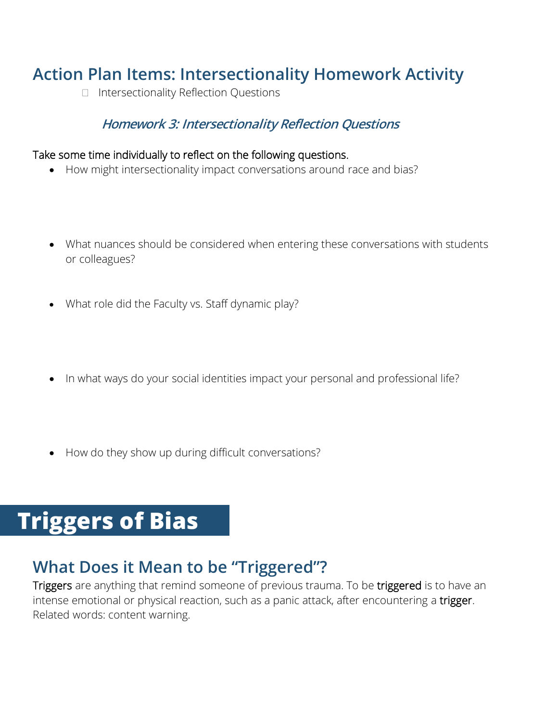#### **Action Plan Items: Intersectionality Homework Activity**

Intersectionality Reflection Questions

#### **Homework 3: Intersectionality Reflection Questions**

#### Take some time individually to reflect on the following questions.

- How might intersectionality impact conversations around race and bias?
- What nuances should be considered when entering these conversations with students or colleagues?
- What role did the Faculty vs. Staff dynamic play?
- In what ways do your social identities impact your personal and professional life?
- How do they show up during difficult conversations?

## **Triggers of Bias**

#### **What Does it Mean to be "Triggered"?**

Triggers are anything that remind someone of previous trauma. To be triggered is to have an intense emotional or physical reaction, such as a panic attack, after encountering a trigger. Related words: content warning.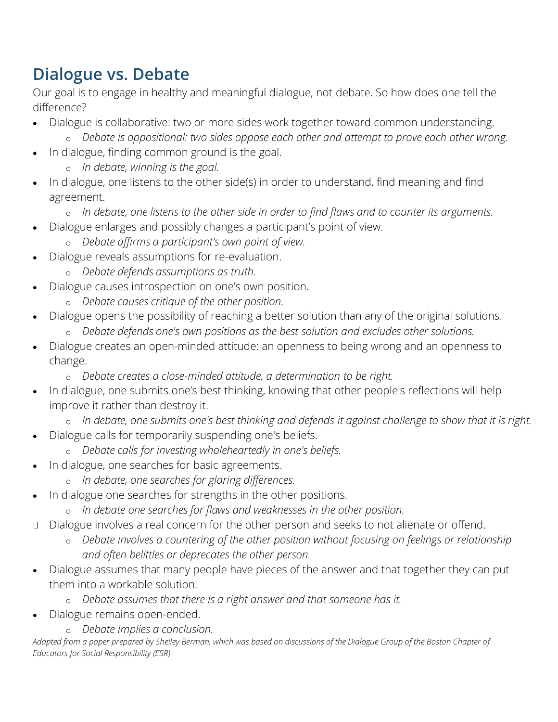## **Dialogue vs. Debate**

Our goal is to engage in healthy and meaningful dialogue, not debate. So how does one tell the difference?

- Dialogue is collaborative: two or more sides work together toward common understanding.
	- o *Debate is oppositional: two sides oppose each other and attempt to prove each other wrong.*
- In dialogue, finding common ground is the goal.
	- o *In debate, winning is the goal.*
- In dialogue, one listens to the other side(s) in order to understand, find meaning and find agreement.
	- o *In debate, one listens to the other side in order to find flaws and to counter its arguments.*
- Dialogue enlarges and possibly changes a participant's point of view.
	- o *Debate affirms a participant's own point of view.*
- Dialogue reveals assumptions for re-evaluation.
	- o *Debate defends assumptions as truth.*
- Dialogue causes introspection on one's own position.
	- o *Debate causes critique of the other position.*
- Dialogue opens the possibility of reaching a better solution than any of the original solutions.
	- o *Debate defends one's own positions as the best solution and excludes other solutions.*
- Dialogue creates an open-minded attitude: an openness to being wrong and an openness to change.
	- o *Debate creates a close-minded attitude, a determination to be right.*
- In dialogue, one submits one's best thinking, knowing that other people's reflections will help improve it rather than destroy it.
	- o *In debate, one submits one's best thinking and defends it against challenge to show that it is right.*
- Dialogue calls for temporarily suspending one's beliefs.
	- o *Debate calls for investing wholeheartedly in one's beliefs.*
- In dialogue, one searches for basic agreements.
	- o *In debate, one searches for glaring differences.*
- In dialogue one searches for strengths in the other positions.
	- o *In debate one searches for flaws and weaknesses in the other position.*
- Dialogue involves a real concern for the other person and seeks to not alienate or offend.  $\Box$ 
	- o *Debate involves a countering of the other position without focusing on feelings or relationship and often belittles or deprecates the other person.*
- Dialogue assumes that many people have pieces of the answer and that together they can put them into a workable solution.
	- o *Debate assumes that there is a right answer and that someone has it.*
- Dialogue remains open-ended.
	- o *Debate implies a conclusion.*

*Adapted from a paper prepared by Shelley Berman, which was based on discussions of the Dialogue Group of the Boston Chapter of Educators for Social Responsibility (ESR).*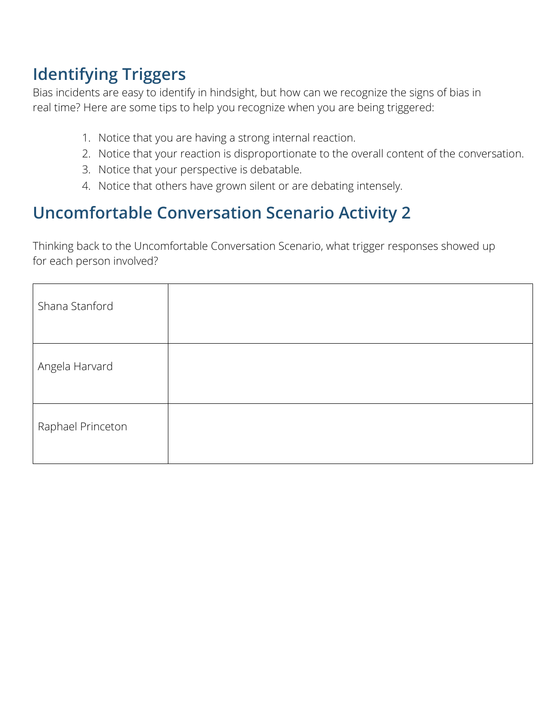### **Identifying Triggers**

Bias incidents are easy to identify in hindsight, but how can we recognize the signs of bias in real time? Here are some tips to help you recognize when you are being triggered:

- 1. Notice that you are having a strong internal reaction.
- 2. Notice that your reaction is disproportionate to the overall content of the conversation.
- 3. Notice that your perspective is debatable.
- 4. Notice that others have grown silent or are debating intensely.

### **Uncomfortable Conversation Scenario Activity 2**

Thinking back to the Uncomfortable Conversation Scenario, what trigger responses showed up for each person involved?

| Shana Stanford    |  |
|-------------------|--|
| Angela Harvard    |  |
| Raphael Princeton |  |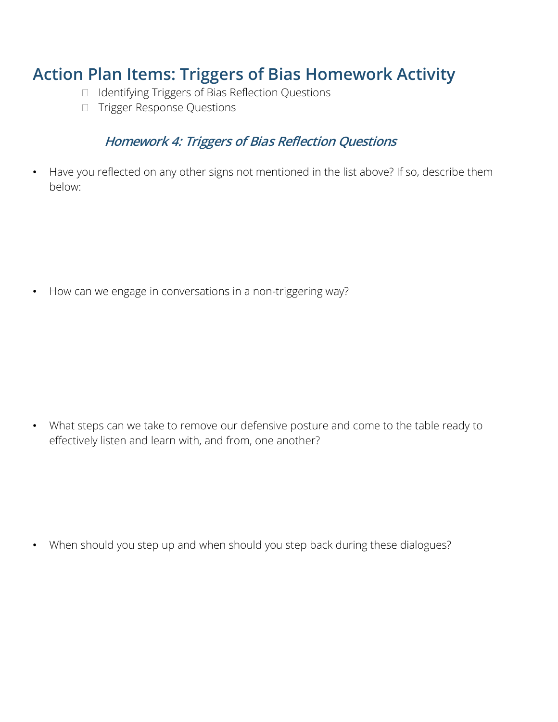#### **Action Plan Items: Triggers of Bias Homework Activity**

- □ Identifying Triggers of Bias Reflection Questions
- □ Trigger Response Questions

#### **Homework 4: Triggers of Bias Reflection Questions**

• Have you reflected on any other signs not mentioned in the list above? If so, describe them below:

• How can we engage in conversations in a non-triggering way?

• What steps can we take to remove our defensive posture and come to the table ready to effectively listen and learn with, and from, one another?

• When should you step up and when should you step back during these dialogues?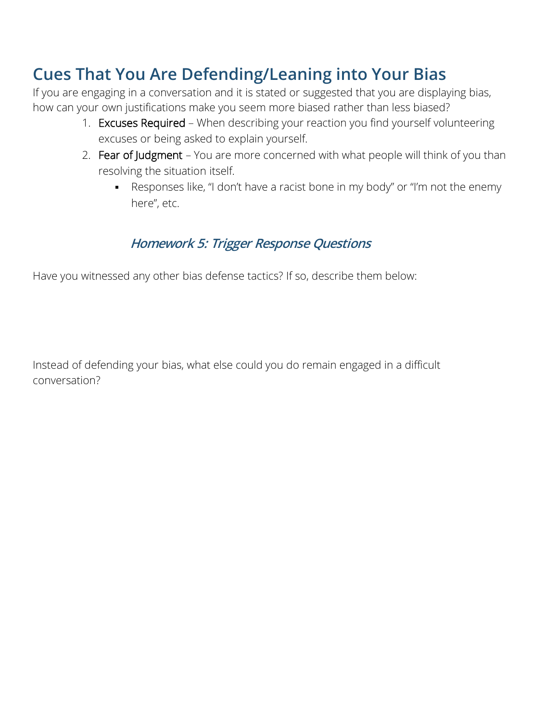### **Cues That You Are Defending/Leaning into Your Bias**

If you are engaging in a conversation and it is stated or suggested that you are displaying bias, how can your own justifications make you seem more biased rather than less biased?

- 1. Excuses Required When describing your reaction you find yourself volunteering excuses or being asked to explain yourself.
- 2. Fear of Judgment You are more concerned with what people will think of you than resolving the situation itself.
	- Responses like, "I don't have a racist bone in my body" or "I'm not the enemy here", etc.

#### **Homework 5: Trigger Response Questions**

Have you witnessed any other bias defense tactics? If so, describe them below:

Instead of defending your bias, what else could you do remain engaged in a difficult conversation?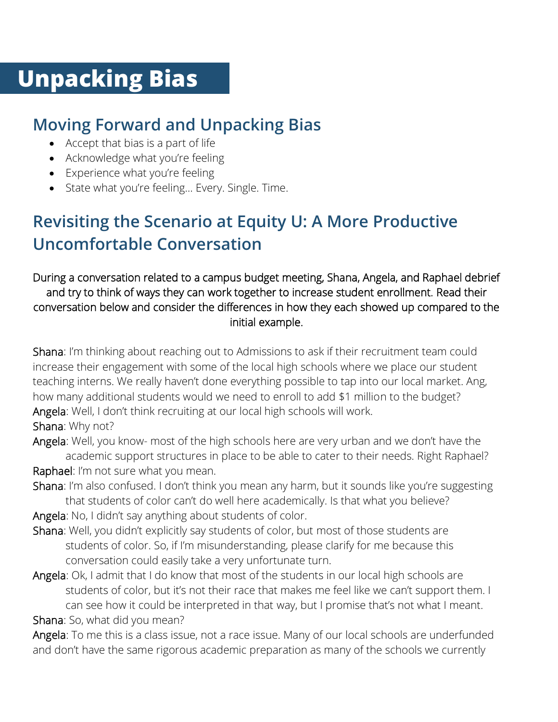## **Unpacking Bias**

## **Moving Forward and Unpacking Bias**

- Accept that bias is a part of life
- Acknowledge what you're feeling
- Experience what you're feeling
- State what you're feeling... Every. Single. Time.

## **Revisiting the Scenario at Equity U: A More Productive Uncomfortable Conversation**

During a conversation related to a campus budget meeting, Shana, Angela, and Raphael debrief and try to think of ways they can work together to increase student enrollment. Read their conversation below and consider the differences in how they each showed up compared to the initial example.

Shana: I'm thinking about reaching out to Admissions to ask if their recruitment team could increase their engagement with some of the local high schools where we place our student teaching interns. We really haven't done everything possible to tap into our local market. Ang, how many additional students would we need to enroll to add \$1 million to the budget? Angela: Well, I don't think recruiting at our local high schools will work. Shana: Why not?

Angela: Well, you know- most of the high schools here are very urban and we don't have the academic support structures in place to be able to cater to their needs. Right Raphael? Raphael: I'm not sure what you mean.

- Shana: I'm also confused. I don't think you mean any harm, but it sounds like you're suggesting that students of color can't do well here academically. Is that what you believe? Angela: No, I didn't say anything about students of color.
- Shana: Well, you didn't explicitly say students of color, but most of those students are students of color. So, if I'm misunderstanding, please clarify for me because this conversation could easily take a very unfortunate turn.
- Angela: Ok, I admit that I do know that most of the students in our local high schools are students of color, but it's not their race that makes me feel like we can't support them. I can see how it could be interpreted in that way, but I promise that's not what I meant. Shana: So, what did you mean?

Angela: To me this is a class issue, not a race issue. Many of our local schools are underfunded and don't have the same rigorous academic preparation as many of the schools we currently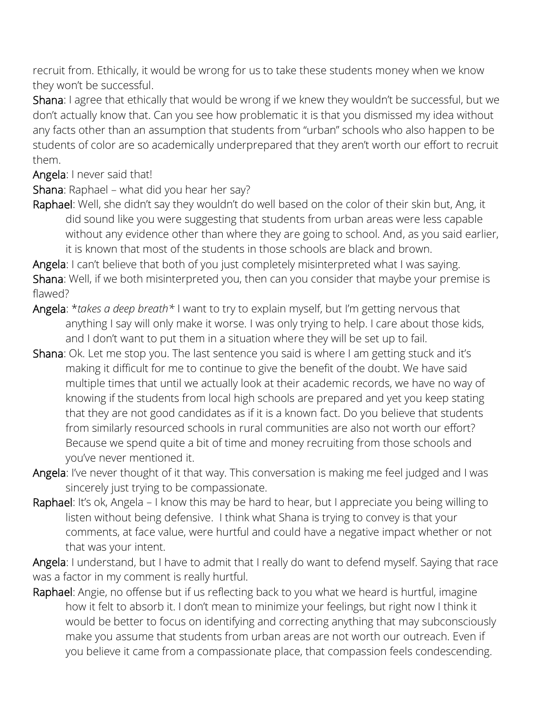recruit from. Ethically, it would be wrong for us to take these students money when we know they won't be successful.

Shana: I agree that ethically that would be wrong if we knew they wouldn't be successful, but we don't actually know that. Can you see how problematic it is that you dismissed my idea without any facts other than an assumption that students from "urban" schools who also happen to be students of color are so academically underprepared that they aren't worth our effort to recruit them.

Angela: I never said that!

Shana: Raphael – what did you hear her say?

Raphael: Well, she didn't say they wouldn't do well based on the color of their skin but, Ang, it did sound like you were suggesting that students from urban areas were less capable without any evidence other than where they are going to school. And, as you said earlier, it is known that most of the students in those schools are black and brown.

Angela: I can't believe that both of you just completely misinterpreted what I was saying. Shana: Well, if we both misinterpreted you, then can you consider that maybe your premise is flawed?

- Angela: \**takes a deep breath\** I want to try to explain myself, but I'm getting nervous that anything I say will only make it worse. I was only trying to help. I care about those kids, and I don't want to put them in a situation where they will be set up to fail.
- Shana: Ok. Let me stop you. The last sentence you said is where I am getting stuck and it's making it difficult for me to continue to give the benefit of the doubt. We have said multiple times that until we actually look at their academic records, we have no way of knowing if the students from local high schools are prepared and yet you keep stating that they are not good candidates as if it is a known fact. Do you believe that students from similarly resourced schools in rural communities are also not worth our effort? Because we spend quite a bit of time and money recruiting from those schools and you've never mentioned it.
- Angela: I've never thought of it that way. This conversation is making me feel judged and I was sincerely just trying to be compassionate.
- Raphael: It's ok, Angela I know this may be hard to hear, but I appreciate you being willing to listen without being defensive. I think what Shana is trying to convey is that your comments, at face value, were hurtful and could have a negative impact whether or not that was your intent.

Angela: I understand, but I have to admit that I really do want to defend myself. Saying that race was a factor in my comment is really hurtful.

Raphael: Angie, no offense but if us reflecting back to you what we heard is hurtful, imagine how it felt to absorb it. I don't mean to minimize your feelings, but right now I think it would be better to focus on identifying and correcting anything that may subconsciously make you assume that students from urban areas are not worth our outreach. Even if you believe it came from a compassionate place, that compassion feels condescending.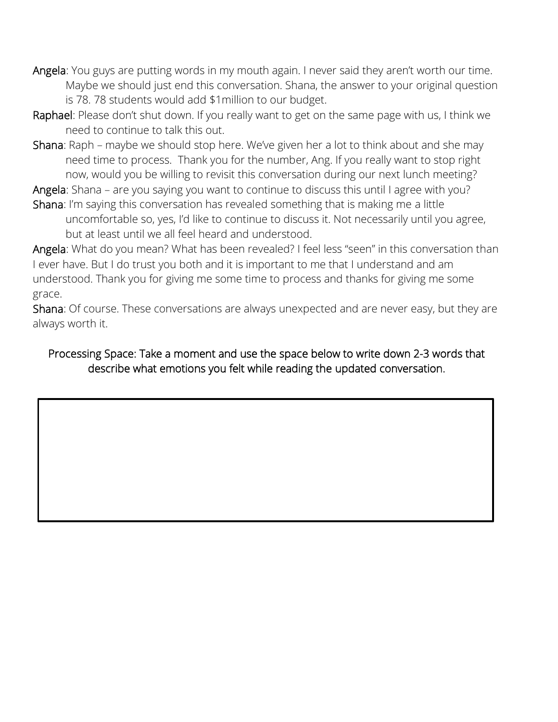- Angela: You guys are putting words in my mouth again. I never said they aren't worth our time. Maybe we should just end this conversation. Shana, the answer to your original question is 78. 78 students would add \$1million to our budget.
- Raphael: Please don't shut down. If you really want to get on the same page with us, I think we need to continue to talk this out.
- Shana: Raph maybe we should stop here. We've given her a lot to think about and she may need time to process. Thank you for the number, Ang. If you really want to stop right now, would you be willing to revisit this conversation during our next lunch meeting?

Angela: Shana – are you saying you want to continue to discuss this until I agree with you?

Shana: I'm saying this conversation has revealed something that is making me a little uncomfortable so, yes, I'd like to continue to discuss it. Not necessarily until you agree, but at least until we all feel heard and understood.

Angela: What do you mean? What has been revealed? I feel less "seen" in this conversation than I ever have. But I do trust you both and it is important to me that I understand and am understood. Thank you for giving me some time to process and thanks for giving me some grace.

Shana: Of course. These conversations are always unexpected and are never easy, but they are always worth it.

#### Processing Space: Take a moment and use the space below to write down 2-3 words that describe what emotions you felt while reading the updated conversation.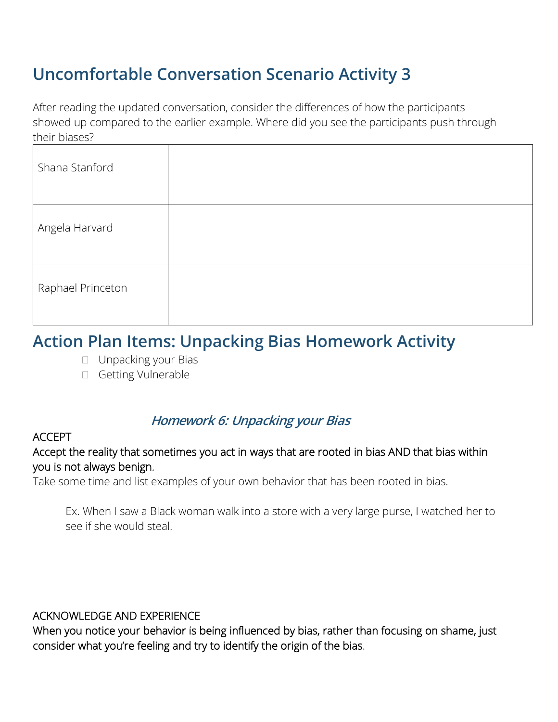## **Uncomfortable Conversation Scenario Activity 3**

After reading the updated conversation, consider the differences of how the participants showed up compared to the earlier example. Where did you see the participants push through their biases?

| Shana Stanford    |  |
|-------------------|--|
| Angela Harvard    |  |
| Raphael Princeton |  |

#### **Action Plan Items: Unpacking Bias Homework Activity**

- □ Unpacking your Bias
- Getting Vulnerable

#### **Homework 6: Unpacking your Bias**

#### ACCEPT

#### Accept the reality that sometimes you act in ways that are rooted in bias AND that bias within you is not always benign.

Take some time and list examples of your own behavior that has been rooted in bias.

Ex. When I saw a Black woman walk into a store with a very large purse, I watched her to see if she would steal.

#### ACKNOWLEDGE AND EXPERIENCE

When you notice your behavior is being influenced by bias, rather than focusing on shame, just consider what you're feeling and try to identify the origin of the bias.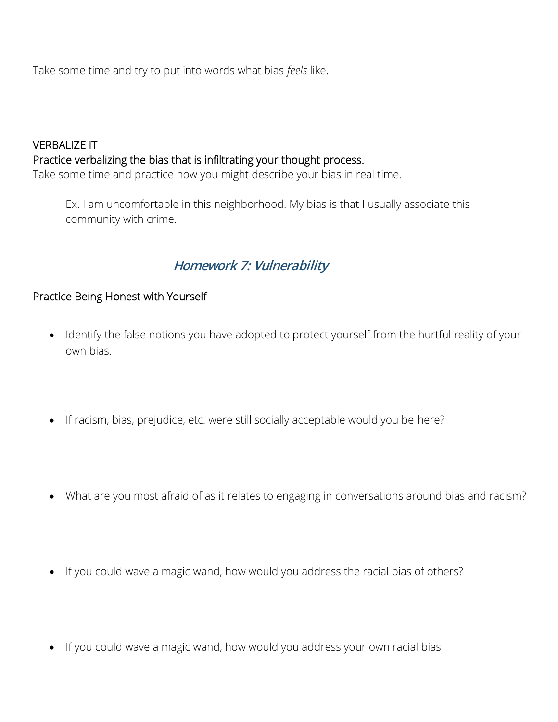Take some time and try to put into words what bias *feels* like.

#### VERBALIZE IT Practice verbalizing the bias that is infiltrating your thought process.

Take some time and practice how you might describe your bias in real time.

Ex. I am uncomfortable in this neighborhood. My bias is that I usually associate this community with crime.

#### **Homework 7: Vulnerability**

#### Practice Being Honest with Yourself

- Identify the false notions you have adopted to protect yourself from the hurtful reality of your own bias.
- If racism, bias, prejudice, etc. were still socially acceptable would you be here?
- What are you most afraid of as it relates to engaging in conversations around bias and racism?
- If you could wave a magic wand, how would you address the racial bias of others?
- If you could wave a magic wand, how would you address your own racial bias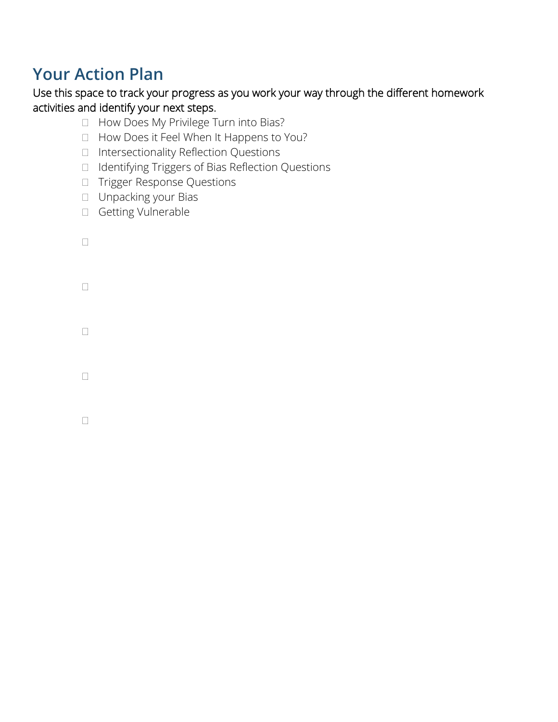#### **Your Action Plan**

#### Use this space to track your progress as you work your way through the different homework activities and identify your next steps.

- □ How Does My Privilege Turn into Bias?
- □ How Does it Feel When It Happens to You?
- Intersectionality Reflection Questions
- Identifying Triggers of Bias Reflection Questions
- □ Trigger Response Questions
- Unpacking your Bias
- Getting Vulnerable

| $\Box$ |  |  |
|--------|--|--|
| $\Box$ |  |  |
| $\Box$ |  |  |
| $\Box$ |  |  |
| Ιj     |  |  |